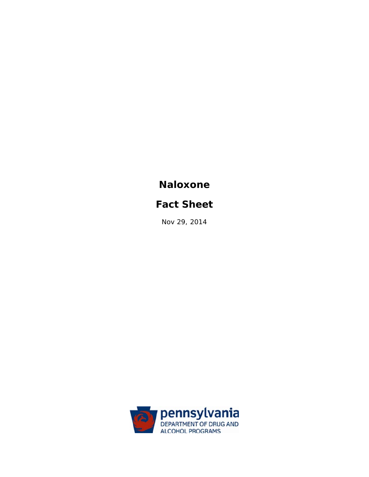# **Naloxone**

# **Fact Sheet**

Nov 29, 2014

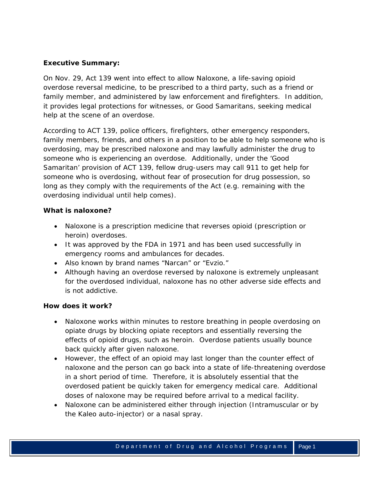# **Executive Summary:**

On Nov. 29, Act 139 went into effect to allow Naloxone, a life-saving opioid overdose reversal medicine, to be prescribed to a third party, such as a friend or family member, and administered by law enforcement and firefighters. In addition, it provides legal protections for witnesses, or Good Samaritans, seeking medical help at the scene of an overdose.

According to ACT 139, police officers, firefighters, other emergency responders, family members, friends, and others in a position to be able to help someone who is overdosing, may be prescribed naloxone and may lawfully administer the drug to someone who is experiencing an overdose. Additionally, under the 'Good Samaritan' provision of ACT 139, fellow drug-users may call 911 to get help for someone who is overdosing, without fear of prosecution for drug possession, so long as they comply with the requirements of the Act (e.g. remaining with the overdosing individual until help comes).

# **What is naloxone?**

- Naloxone is a prescription medicine that reverses opioid (prescription or heroin) overdoses.
- It was approved by the FDA in 1971 and has been used successfully in emergency rooms and ambulances for *decades*.
- Also known by brand names "Narcan" or "Evzio."
- Although having an overdose reversed by naloxone is extremely unpleasant for the overdosed individual, naloxone has *no* other adverse side effects and is not addictive.

## **How does it work?**

- Naloxone works within minutes to restore breathing in people overdosing on opiate drugs by blocking opiate receptors and essentially reversing the effects of opioid drugs, such as heroin. Overdose patients usually bounce back quickly after given naloxone.
- However, the effect of an opioid may last longer than the counter effect of naloxone and the person can go back into a state of life-threatening overdose in a short period of time. Therefore, it is absolutely *essential* that the overdosed patient be quickly taken for emergency medical care. Additional doses of naloxone may be required before arrival to a medical facility.
- Naloxone can be administered either through injection (Intramuscular or by the Kaleo auto-injector) or a nasal spray.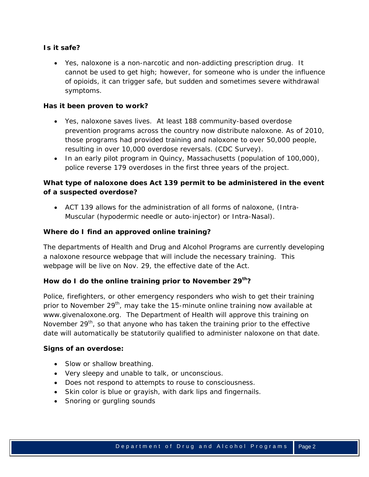# **Is it safe?**

 Yes, naloxone is a non-narcotic and non-addicting prescription drug. It cannot be used to get high; however, for someone who is under the influence of opioids, it can trigger safe, but sudden and sometimes severe withdrawal symptoms.

## **Has it been proven to work?**

- Yes, naloxone saves lives. At least 188 community-based overdose prevention programs across the country now distribute naloxone. As of 2010, those programs had provided training and naloxone to over 50,000 people, resulting in over 10,000 overdose reversals. (CDC Survey).
- In an early pilot program in Quincy, Massachusetts (population of 100,000), police reverse 179 overdoses in the first three years of the project.

# **What type of naloxone does Act 139 permit to be administered in the event of a suspected overdose?**

 ACT 139 allows for the administration of all forms of naloxone, (Intra-Muscular (hypodermic needle or auto-injector) or Intra-Nasal).

## **Where do I find an approved online training?**

The departments of Health and Drug and Alcohol Programs are currently developing a naloxone resource webpage that will include the necessary training. This webpage will be live on Nov. 29, the effective date of the Act.

## How do I do the online training prior to November 29<sup>th</sup>?

Police, firefighters, or other emergency responders who wish to get their training prior to November 29<sup>th</sup>, may take the 15-minute online training now available at www.givenaloxone.org. The Department of Health will approve this training on November  $29<sup>th</sup>$ , so that anyone who has taken the training prior to the effective date will automatically be statutorily qualified to administer naloxone on that date.

## **Signs of an overdose:**

- Slow or shallow breathing.
- Very sleepy and unable to talk, or unconscious.
- Does not respond to attempts to rouse to consciousness.
- Skin color is blue or grayish, with dark lips and fingernails.
- Snoring or gurgling sounds